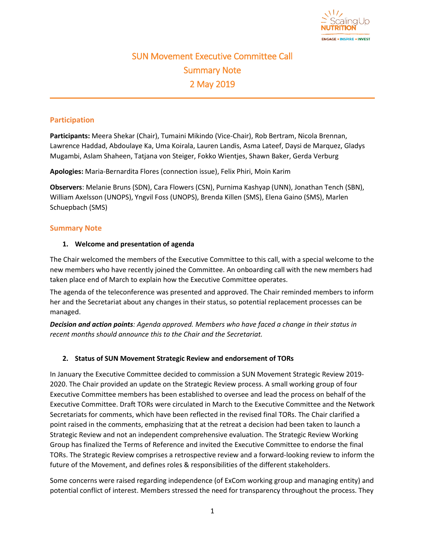

# SUN Movement Executive Committee Call Summary Note 2 May 2019

## **Participation**

**Participants:** Meera Shekar (Chair), Tumaini Mikindo (Vice-Chair), Rob Bertram, Nicola Brennan, Lawrence Haddad, Abdoulaye Ka, Uma Koirala, Lauren Landis, Asma Lateef, Daysi de Marquez, Gladys Mugambi, Aslam Shaheen, Tatjana von Steiger, Fokko Wientjes, Shawn Baker, Gerda Verburg

**Apologies:** Maria-Bernardita Flores (connection issue), Felix Phiri, Moin Karim

**Observers**: Melanie Bruns (SDN), Cara Flowers (CSN), Purnima Kashyap (UNN), Jonathan Tench (SBN), William Axelsson (UNOPS), Yngvil Foss (UNOPS), Brenda Killen (SMS), Elena Gaino (SMS), Marlen Schuepbach (SMS)

#### **Summary Note**

#### **1. Welcome and presentation of agenda**

The Chair welcomed the members of the Executive Committee to this call, with a special welcome to the new members who have recently joined the Committee. An onboarding call with the new members had taken place end of March to explain how the Executive Committee operates.

The agenda of the teleconference was presented and approved. The Chair reminded members to inform her and the Secretariat about any changes in their status, so potential replacement processes can be managed.

*Decision and action points: Agenda approved. Members who have faced a change in their status in recent months should announce this to the Chair and the Secretariat.* 

#### **2. Status of SUN Movement Strategic Review and endorsement of TORs**

In January the Executive Committee decided to commission a SUN Movement Strategic Review 2019- 2020. The Chair provided an update on the Strategic Review process. A small working group of four Executive Committee members has been established to oversee and lead the process on behalf of the Executive Committee. Draft TORs were circulated in March to the Executive Committee and the Network Secretariats for comments, which have been reflected in the revised final TORs. The Chair clarified a point raised in the comments, emphasizing that at the retreat a decision had been taken to launch a Strategic Review and not an independent comprehensive evaluation. The Strategic Review Working Group has finalized the Terms of Reference and invited the Executive Committee to endorse the final TORs. The Strategic Review comprises a retrospective review and a forward-looking review to inform the future of the Movement, and defines roles & responsibilities of the different stakeholders.

Some concerns were raised regarding independence (of ExCom working group and managing entity) and potential conflict of interest. Members stressed the need for transparency throughout the process. They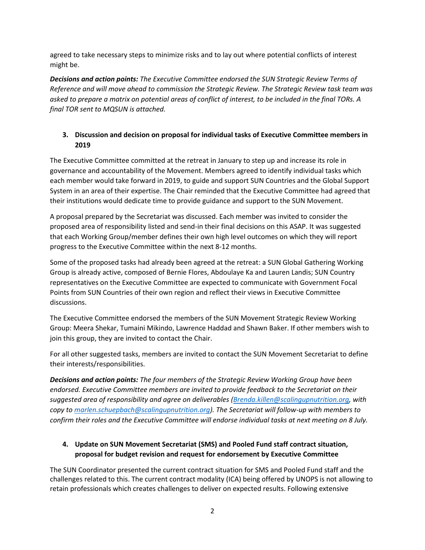agreed to take necessary steps to minimize risks and to lay out where potential conflicts of interest might be.

*Decisions and action points: The Executive Committee endorsed the SUN Strategic Review Terms of Reference and will move ahead to commission the Strategic Review. The Strategic Review task team was asked to prepare a matrix on potential areas of conflict of interest, to be included in the final TORs. A final TOR sent to MQSUN is attached.*

# **3. Discussion and decision on proposal for individual tasks of Executive Committee members in 2019**

The Executive Committee committed at the retreat in January to step up and increase its role in governance and accountability of the Movement. Members agreed to identify individual tasks which each member would take forward in 2019, to guide and support SUN Countries and the Global Support System in an area of their expertise. The Chair reminded that the Executive Committee had agreed that their institutions would dedicate time to provide guidance and support to the SUN Movement.

A proposal prepared by the Secretariat was discussed. Each member was invited to consider the proposed area of responsibility listed and send-in their final decisions on this ASAP. It was suggested that each Working Group/member defines their own high level outcomes on which they will report progress to the Executive Committee within the next 8-12 months.

Some of the proposed tasks had already been agreed at the retreat: a SUN Global Gathering Working Group is already active, composed of Bernie Flores, Abdoulaye Ka and Lauren Landis; SUN Country representatives on the Executive Committee are expected to communicate with Government Focal Points from SUN Countries of their own region and reflect their views in Executive Committee discussions.

The Executive Committee endorsed the members of the SUN Movement Strategic Review Working Group: Meera Shekar, Tumaini Mikindo, Lawrence Haddad and Shawn Baker. If other members wish to join this group, they are invited to contact the Chair.

For all other suggested tasks, members are invited to contact the SUN Movement Secretariat to define their interests/responsibilities.

*Decisions and action points: The four members of the Strategic Review Working Group have been endorsed. Executive Committee members are invited to provide feedback to the Secretariat on their suggested area of responsibility and agree on deliverables [\(Brenda.killen@scalingupnutrition.org,](mailto:Brenda.killen@scalingupnutrition.org) with copy to [marlen.schuepbach@scalingupnutrition.org\)](mailto:marlen.schuepbach@scalingupnutrition.org). The Secretariat will follow-up with members to confirm their roles and the Executive Committee will endorse individual tasks at next meeting on 8 July.* 

# **4. Update on SUN Movement Secretariat (SMS) and Pooled Fund staff contract situation, proposal for budget revision and request for endorsement by Executive Committee**

The SUN Coordinator presented the current contract situation for SMS and Pooled Fund staff and the challenges related to this. The current contract modality (ICA) being offered by UNOPS is not allowing to retain professionals which creates challenges to deliver on expected results. Following extensive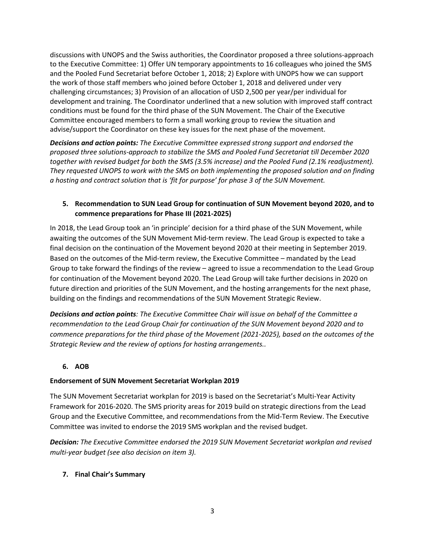discussions with UNOPS and the Swiss authorities, the Coordinator proposed a three solutions-approach to the Executive Committee: 1) Offer UN temporary appointments to 16 colleagues who joined the SMS and the Pooled Fund Secretariat before October 1, 2018; 2) Explore with UNOPS how we can support the work of those staff members who joined before October 1, 2018 and delivered under very challenging circumstances; 3) Provision of an allocation of USD 2,500 per year/per individual for development and training. The Coordinator underlined that a new solution with improved staff contract conditions must be found for the third phase of the SUN Movement. The Chair of the Executive Committee encouraged members to form a small working group to review the situation and advise/support the Coordinator on these key issues for the next phase of the movement.

*Decisions and action points: The Executive Committee expressed strong support and endorsed the proposed three solutions-approach to stabilize the SMS and Pooled Fund Secretariat till December 2020 together with revised budget for both the SMS (3.5% increase) and the Pooled Fund (2.1% readjustment). They requested UNOPS to work with the SMS on both implementing the proposed solution and on finding a hosting and contract solution that is 'fit for purpose' for phase 3 of the SUN Movement.*

# **5. Recommendation to SUN Lead Group for continuation of SUN Movement beyond 2020, and to commence preparations for Phase III (2021-2025)**

In 2018, the Lead Group took an 'in principle' decision for a third phase of the SUN Movement, while awaiting the outcomes of the SUN Movement Mid-term review. The Lead Group is expected to take a final decision on the continuation of the Movement beyond 2020 at their meeting in September 2019. Based on the outcomes of the Mid-term review, the Executive Committee – mandated by the Lead Group to take forward the findings of the review – agreed to issue a recommendation to the Lead Group for continuation of the Movement beyond 2020. The Lead Group will take further decisions in 2020 on future direction and priorities of the SUN Movement, and the hosting arrangements for the next phase, building on the findings and recommendations of the SUN Movement Strategic Review.

*Decisions and action points: The Executive Committee Chair will issue on behalf of the Committee a recommendation to the Lead Group Chair for continuation of the SUN Movement beyond 2020 and to commence preparations for the third phase of the Movement (2021-2025), based on the outcomes of the Strategic Review and the review of options for hosting arrangements..*

## **6. AOB**

## **Endorsement of SUN Movement Secretariat Workplan 2019**

The SUN Movement Secretariat workplan for 2019 is based on the Secretariat's Multi-Year Activity Framework for 2016-2020. The SMS priority areas for 2019 build on strategic directions from the Lead Group and the Executive Committee, and recommendations from the Mid-Term Review. The Executive Committee was invited to endorse the 2019 SMS workplan and the revised budget.

*Decision: The Executive Committee endorsed the 2019 SUN Movement Secretariat workplan and revised multi-year budget (see also decision on item 3).*

## **7. Final Chair's Summary**